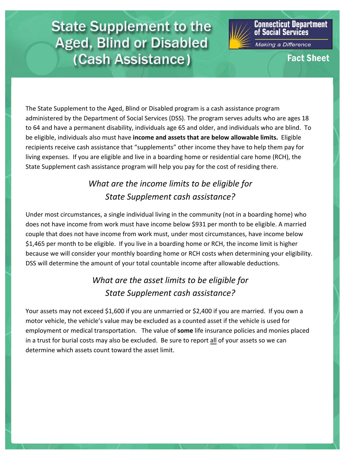## **State Supplement to the Aged, Blind or Disabled** (Cash Assistance)



**Connecticut Department**<br>of Social Services

Making a Difference

**Fact Sheet** 

The State Supplement to the Aged, Blind or Disabled program is a cash assistance program administered by the Department of Social Services (DSS). The program serves adults who are ages 18 to 64 and have a permanent disability, individuals age 65 and older, and individuals who are blind. To be eligible, individuals also must have **income and assets that are below allowable limits.** Eligible recipients receive cash assistance that "supplements" other income they have to help them pay for living expenses. If you are eligible and live in a boarding home or residential care home (RCH), the State Supplement cash assistance program will help you pay for the cost of residing there.

## *What are the income limits to be eligible for State Supplement cash assistance?*

Under most circumstances, a single individual living in the community (not in a boarding home) who does not have income from work must have income below \$931 per month to be eligible. A married couple that does not have income from work must, under most circumstances, have income below \$1,465 per month to be eligible. If you live in a boarding home or RCH, the income limit is higher because we will consider your monthly boarding home or RCH costs when determining your eligibility. DSS will determine the amount of your total countable income after allowable deductions.

## *What are the asset limits to be eligible for State Supplement cash assistance?*

Your assets may not exceed \$1,600 if you are unmarried or \$2,400 if you are married. If you own a motor vehicle, the vehicle's value may be excluded as a counted asset if the vehicle is used for employment or medical transportation. The value of **some** life insurance policies and monies placed in a trust for burial costs may also be excluded. Be sure to report all of your assets so we can determine which assets count toward the asset limit.